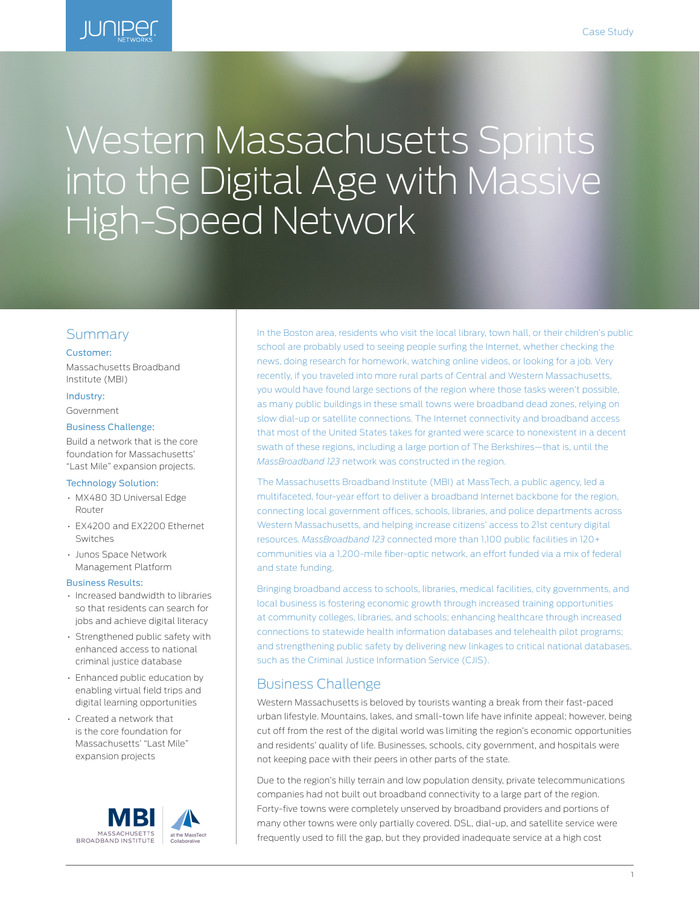

# Western Massachusetts Sprints into the Digital Age with Massive High-Speed Network

# Summary

#### Customer:

Massachusetts Broadband Institute (MBI)

#### Industry:

Government

#### Business Challenge:

Build a network that is the core foundation for Massachusetts' "Last Mile" expansion projects.

#### Technology Solution:

- MX480 3D Universal Edge Router
- EX4200 and EX2200 Ethernet Switches
- Junos Space Network Management Platform

#### Business Results:

- Increased bandwidth to libraries so that residents can search for jobs and achieve digital literacy
- Strengthened public safety with enhanced access to national criminal justice database
- Enhanced public education by enabling virtual field trips and digital learning opportunities
- Created a network that is the core foundation for Massachusetts' "Last Mile" expansion projects



In the Boston area, residents who visit the local library, town hall, or their children's public school are probably used to seeing people surfing the Internet, whether checking the news, doing research for homework, watching online videos, or looking for a job. Very recently, if you traveled into more rural parts of Central and Western Massachusetts, you would have found large sections of the region where those tasks weren't possible, as many public buildings in these small towns were broadband dead zones, relying on slow dial-up or satellite connections. The Internet connectivity and broadband access that most of the United States takes for granted were scarce to nonexistent in a decent swath of these regions, including a large portion of The Berkshires—that is, until the *MassBroadband 123* network was constructed in the region.

The Massachusetts Broadband Institute (MBI) at MassTech, a public agency, led a multifaceted, four-year effort to deliver a broadband Internet backbone for the region, connecting local government offices, schools, libraries, and police departments across Western Massachusetts, and helping increase citizens' access to 21st century digital resources. *MassBroadband 123* connected more than 1,100 public facilities in 120+ communities via a 1,200-mile fiber-optic network, an effort funded via a mix of federal and state funding.

Bringing broadband access to schools, libraries, medical facilities, city governments, and local business is fostering economic growth through increased training opportunities at community colleges, libraries, and schools; enhancing healthcare through increased connections to statewide health information databases and telehealth pilot programs; and strengthening public safety by delivering new linkages to critical national databases, such as the Criminal Justice Information Service (CJIS).

## Business Challenge

Western Massachusetts is beloved by tourists wanting a break from their fast-paced urban lifestyle. Mountains, lakes, and small-town life have infinite appeal; however, being cut off from the rest of the digital world was limiting the region's economic opportunities and residents' quality of life. Businesses, schools, city government, and hospitals were not keeping pace with their peers in other parts of the state.

Due to the region's hilly terrain and low population density, private telecommunications companies had not built out broadband connectivity to a large part of the region. Forty-five towns were completely unserved by broadband providers and portions of many other towns were only partially covered. DSL, dial-up, and satellite service were frequently used to fill the gap, but they provided inadequate service at a high cost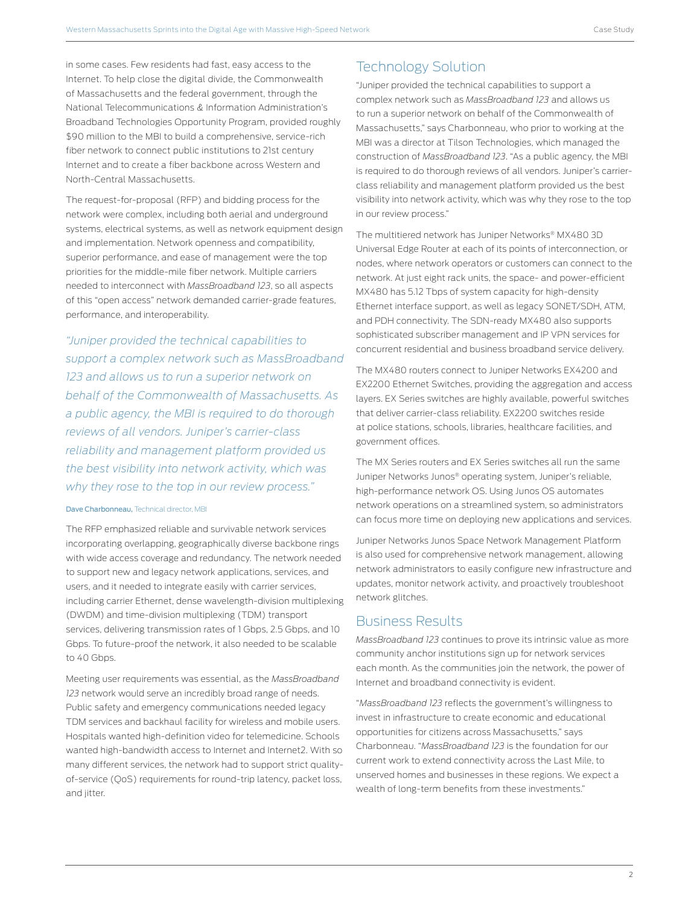in some cases. Few residents had fast, easy access to the Internet. To help close the digital divide, the Commonwealth of Massachusetts and the federal government, through the National Telecommunications & Information Administration's Broadband Technologies Opportunity Program, provided roughly \$90 million to the MBI to build a comprehensive, service-rich fiber network to connect public institutions to 21st century Internet and to create a fiber backbone across Western and North-Central Massachusetts.

The request-for-proposal (RFP) and bidding process for the network were complex, including both aerial and underground systems, electrical systems, as well as network equipment design and implementation. Network openness and compatibility, superior performance, and ease of management were the top priorities for the middle-mile fiber network. Multiple carriers needed to interconnect with *MassBroadband 123*, so all aspects of this "open access" network demanded carrier-grade features, performance, and interoperability.

*"Juniper provided the technical capabilities to support a complex network such as MassBroadband 123 and allows us to run a superior network on behalf of the Commonwealth of Massachusetts. As a public agency, the MBI is required to do thorough reviews of all vendors. Juniper's carrier-class reliability and management platform provided us the best visibility into network activity, which was why they rose to the top in our review process."*

#### Dave Charbonneau, Technical director, MBI

The RFP emphasized reliable and survivable network services incorporating overlapping, geographically diverse backbone rings with wide access coverage and redundancy. The network needed to support new and legacy network applications, services, and users, and it needed to integrate easily with carrier services, including carrier Ethernet, dense wavelength-division multiplexing (DWDM) and time-division multiplexing (TDM) transport services, delivering transmission rates of 1 Gbps, 2.5 Gbps, and 10 Gbps. To future-proof the network, it also needed to be scalable to 40 Gbps.

Meeting user requirements was essential, as the *MassBroadband 123* network would serve an incredibly broad range of needs. Public safety and emergency communications needed legacy TDM services and backhaul facility for wireless and mobile users. Hospitals wanted high-definition video for telemedicine. Schools wanted high-bandwidth access to Internet and Internet2. With so many different services, the network had to support strict qualityof-service (QoS) requirements for round-trip latency, packet loss, and jitter.

# Technology Solution

"Juniper provided the technical capabilities to support a complex network such as *MassBroadband 123* and allows us to run a superior network on behalf of the Commonwealth of Massachusetts," says Charbonneau, who prior to working at the MBI was a director at Tilson Technologies, which managed the construction of *MassBroadband 123*. "As a public agency, the MBI is required to do thorough reviews of all vendors. Juniper's carrierclass reliability and management platform provided us the best visibility into network activity, which was why they rose to the top in our review process."

The multitiered network has Juniper Networks® MX480 3D Universal Edge Router at each of its points of interconnection, or nodes, where network operators or customers can connect to the network. At just eight rack units, the space- and power-efficient MX480 has 5.12 Tbps of system capacity for high-density Ethernet interface support, as well as legacy SONET/SDH, ATM, and PDH connectivity. The SDN-ready MX480 also supports sophisticated subscriber management and IP VPN services for concurrent residential and business broadband service delivery.

The MX480 routers connect to Juniper Networks EX4200 and EX2200 Ethernet Switches, providing the aggregation and access layers. EX Series switches are highly available, powerful switches that deliver carrier-class reliability. EX2200 switches reside at police stations, schools, libraries, healthcare facilities, and government offices.

The MX Series routers and EX Series switches all run the same Juniper Networks Junos® operating system, Juniper's reliable, high-performance network OS. Using Junos OS automates network operations on a streamlined system, so administrators can focus more time on deploying new applications and services.

Juniper Networks Junos Space Network Management Platform is also used for comprehensive network management, allowing network administrators to easily configure new infrastructure and updates, monitor network activity, and proactively troubleshoot network glitches.

## Business Results

*MassBroadband 123* continues to prove its intrinsic value as more community anchor institutions sign up for network services each month. As the communities join the network, the power of Internet and broadband connectivity is evident.

"*MassBroadband 123* reflects the government's willingness to invest in infrastructure to create economic and educational opportunities for citizens across Massachusetts," says Charbonneau. "*MassBroadband 123* is the foundation for our current work to extend connectivity across the Last Mile, to unserved homes and businesses in these regions. We expect a wealth of long-term benefits from these investments."